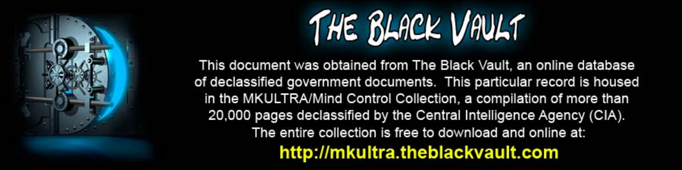

This document was obtained from The Black Vault, an online database of declassified government documents. This particular record is housed in the MKULTRA/Mind Control Collection, a compilation of more than 20,000 pages declassified by the Central Intelligence Agency (CIA). The entire collection is free to download and online at: http://mkultra.theblackvault.com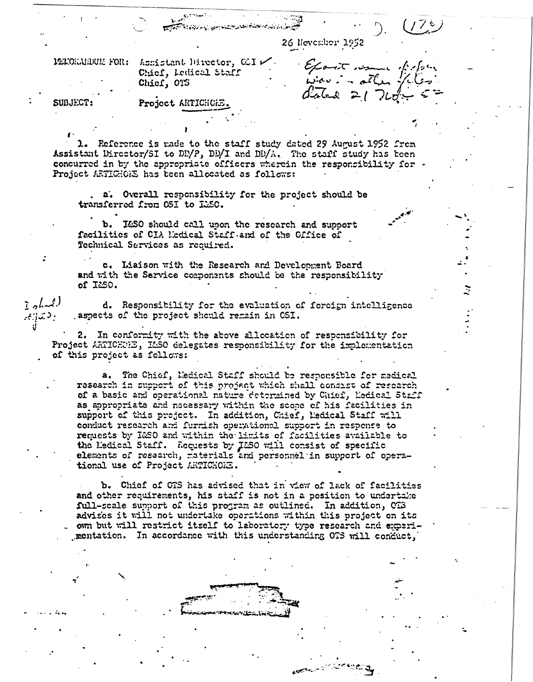26 Nevember 1952

MEMORARDUM FOR: Assistant Director, CCI /

Chief, Ledical Staff Chicf, 015

Exant rome polone<br>was in athen felos

SUBJECT:

 $i \pi$ 

 $\mathcal{L}(\mathbb{Z}^2)$ 

Project ARTICHCLE.

1. Reference is made to the staff study dated 29 August 1952 from Assistant Director/SI to DD/P, DD/I and DD/A. The staff study has been concurred in by the appropriate officers wherein the responsibility for -Project ARTIGHOR has been allocated as follows:

والأوالية بالمراجح فالمتقطة كالطواري المعامل والمتوارد

. a. Overall responsibility for the project should be transferred from OSI to ILEO.

b. KSO should call upon the research and support facilities of CIA Medical Staff and of the Office of Technical Services as required.

c. Liaison with the Research and Development Board and with the Service components should be the responsibility of I250.

d. Responsibility for the evaluation of foreign intelligence aspects of the project should remain in CSI.

2. In conformity with the above allocation of responsibility for Project ARTICHOME, MASO delegates responsibility for the implementation of this project as follows:

a. The Chief, Medical Staff should be responsible for medical research in support of this project which shall consist of research of a basic and operational nature determined by Chief, Medical Staff as appropriate and necessary within the scope of his facilities in support of this preject. In addition, Chief, Medical Staff will conduct research and furnish operational support in response to requests by I&SO and within the limits of facilities available to the Eedical Staff. Requests by I&SO will consist of specific elements of research, materials and personnel in support of operational use of Project ARTICHORE.

b. Chief of OTS has advised that in view of lack of facilities and other requirements, his staff is not in a position to undertake full-scale support of this program as outlined. In addition, OTS advises it will not undertake operations within this project on its own but will restrict itself to laboratory type research and experimentation. In accordance with this understanding OTS will conduct,